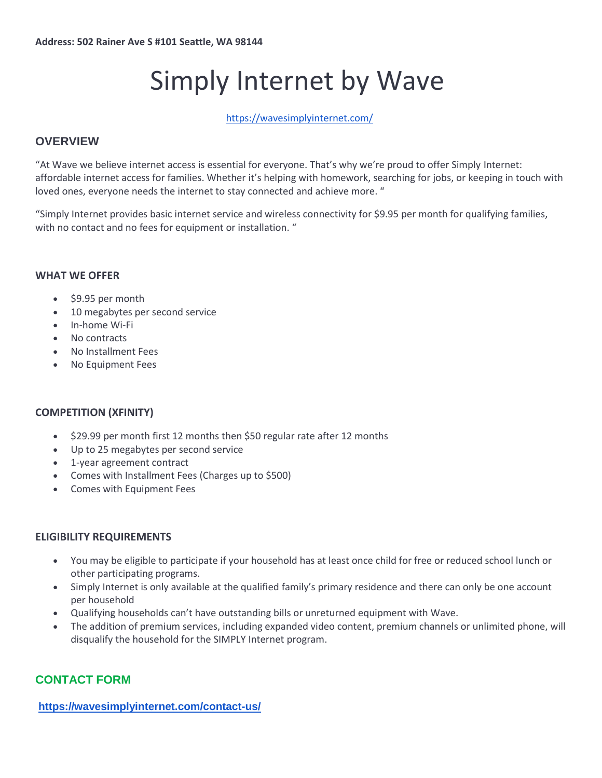# Simply Internet by Wave

<https://wavesimplyinternet.com/>

# **OVERVIEW**

"At Wave we believe internet access is essential for everyone. That's why we're proud to offer Simply Internet: affordable internet access for families. Whether it's helping with homework, searching for jobs, or keeping in touch with loved ones, everyone needs the internet to stay connected and achieve more. "

"Simply Internet provides basic internet service and wireless connectivity for \$9.95 per month for qualifying families, with no contact and no fees for equipment or installation. "

#### **WHAT WE OFFER**

- $\cdot$  \$9.95 per month
- 10 megabytes per second service
- In-home Wi-Fi
- No contracts
- No Installment Fees
- No Equipment Fees

### **COMPETITION (XFINITY)**

- $\bullet$  \$29.99 per month first 12 months then \$50 regular rate after 12 months
- Up to 25 megabytes per second service
- 1-year agreement contract
- Comes with Installment Fees (Charges up to \$500)
- Comes with Equipment Fees

### **ELIGIBILITY REQUIREMENTS**

- You may be eligible to participate if your household has at least once child for free or reduced school lunch or other participating programs.
- Simply Internet is only available at the qualified family's primary residence and there can only be one account per household
- Qualifying households can't have outstanding bills or unreturned equipment with Wave.
- The addition of premium services, including expanded video content, premium channels or unlimited phone, will disqualify the household for the SIMPLY Internet program.

# **CONTACT FORM**

**<https://wavesimplyinternet.com/contact-us/>**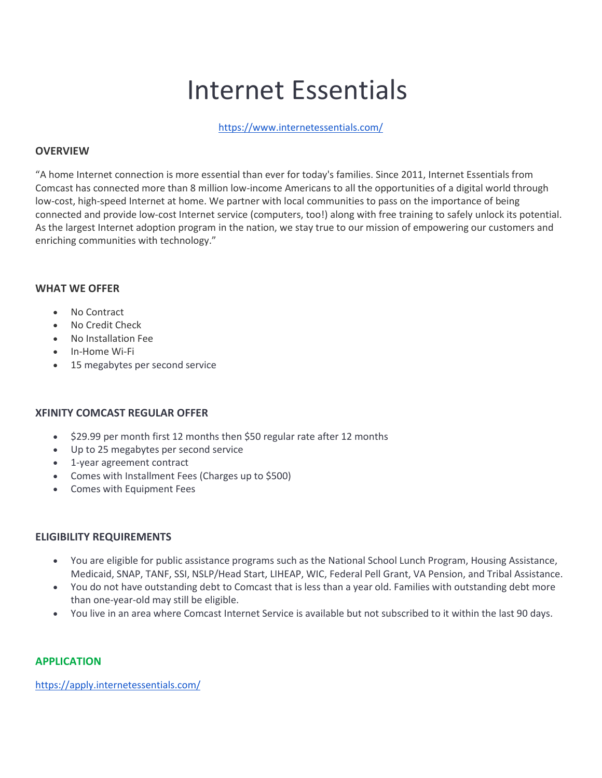# Internet Essentials

<https://www.internetessentials.com/>

#### **OVERVIEW**

"A home Internet connection is more essential than ever for today's families. Since 2011, Internet Essentials from Comcast has connected more than 8 million low-income Americans to all the opportunities of a digital world through low-cost, high-speed Internet at home. We partner with local communities to pass on the importance of being connected and provide low-cost Internet service (computers, too!) along with free training to safely unlock its potential. As the largest Internet adoption program in the nation, we stay true to our mission of empowering our customers and enriching communities with technology."

#### **WHAT WE OFFER**

- No Contract
- No Credit Check
- No Installation Fee
- In-Home Wi-Fi
- 15 megabytes per second service

### **XFINITY COMCAST REGULAR OFFER**

- $\bullet$  \$29.99 per month first 12 months then \$50 regular rate after 12 months
- Up to 25 megabytes per second service
- 1-year agreement contract
- Comes with Installment Fees (Charges up to \$500)
- Comes with Equipment Fees

#### **ELIGIBILITY REQUIREMENTS**

- You are eligible for public assistance programs such as the National School Lunch Program, Housing Assistance, Medicaid, SNAP, TANF, SSI, NSLP/Head Start, LIHEAP, WIC, Federal Pell Grant, VA Pension, and Tribal Assistance.
- You do not have outstanding debt to Comcast that is less than a year old. Families with outstanding debt more than one-year-old may still be eligible.
- You live in an area where Comcast Internet Service is available but not subscribed to it within the last 90 days.

#### **APPLICATION**

<https://apply.internetessentials.com/>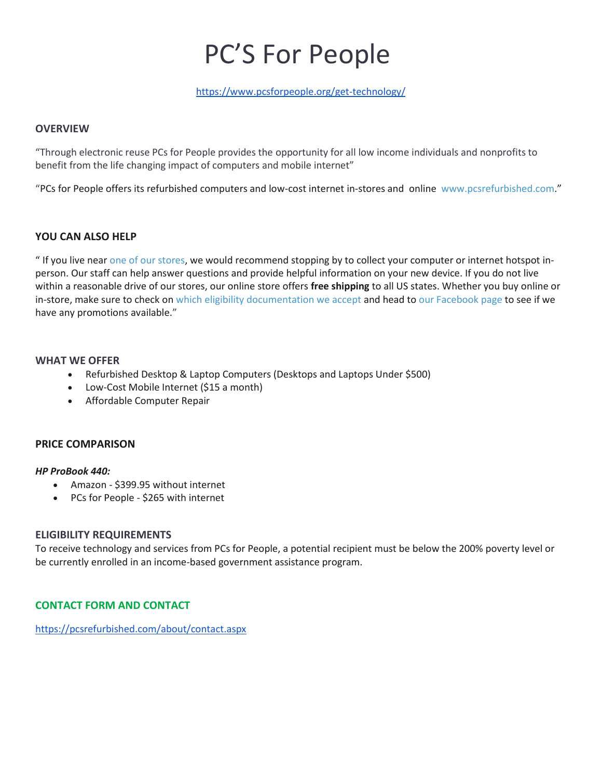# PC'S For People

<https://www.pcsforpeople.org/get-technology/>

#### **OVERVIEW**

"Through electronic reuse PCs for People provides the opportunity for all low income individuals and nonprofits to benefit from the life changing impact of computers and mobile internet"

"PCs for People offers its refurbished computers and low-cost internet in-stores and online [www.pcsrefurbished.com](http://www.pcsrefurbished.com/)."

#### **YOU CAN ALSO HELP**

" If you live near [one of our stores,](https://www.pcsforpeople.org/contact/) we would recommend stopping by to collect your computer or internet hotspot inperson. Our staff can help answer questions and provide helpful information on your new device. If you do not live within a reasonable drive of our stores, our online store offers **free shipping** to all US states. Whether you buy online or in-store, make sure to check on [which eligibility documentation we accept](https://www.pcsforpeople.org/eligibility/) and head to [our Facebook page](https://www.facebook.com/pcsforpeople) to see if we have any promotions available."

#### **WHAT WE OFFER**

- Refurbished Desktop & Laptop Computers (Desktops and Laptops Under \$500)
- Low-Cost Mobile Internet (\$15 a month)
- Affordable Computer Repair

#### **PRICE COMPARISON**

#### *HP ProBook 440:*

- Amazon \$399.95 without internet
- PCs for People \$265 with internet

#### **ELIGIBILITY REQUIREMENTS**

To receive technology and services from PCs for People, a potential recipient must be below the 200% poverty level or be currently enrolled in an income-based government assistance program.

### **CONTACT FORM AND CONTACT**

<https://pcsrefurbished.com/about/contact.aspx>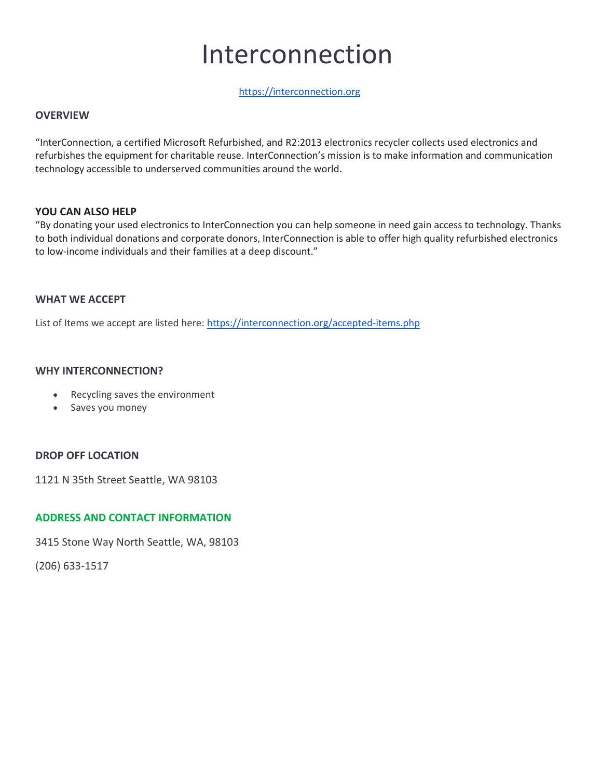# Interconnection

#### [https://interconnection.org](https://interconnection.org/)

#### **OVERVIEW**

"InterConnection, a certified Microsoft Refurbished, and R2:2013 electronics recycler collects used electronics and refurbishes the equipment for charitable reuse. InterConnection's mission is to make information and communication technology accessible to underserved communities around the world.

#### **YOU CAN ALSO HELP**

"By donating your used electronics to InterConnection you can help someone in need gain access to technology. Thanks to both individual donations and corporate donors, InterConnection is able to offer high quality refurbished electronics to low-income individuals and their families at a deep discount."

#### **WHAT WE ACCEPT**

List of Items we accept are listed here:<https://interconnection.org/accepted-items.php>

#### **WHY INTERCONNECTION?**

- Recycling saves the environment
- Saves you money

### **DROP OFF LOCATION**

1121 N 35th Street Seattle, WA 98103

### **ADDRESS AND CONTACT INFORMATION**

3415 Stone Way North Seattle, WA, 98103

(206) 633-1517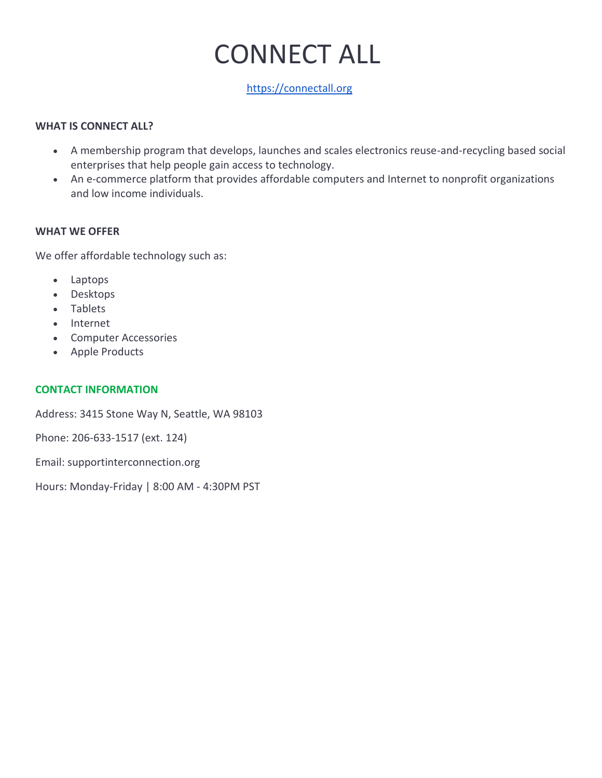# CONNECT ALL

# [https://connectall.org](https://connectall.org/)

# **WHAT IS CONNECT ALL?**

- A membership program that develops, launches and scales electronics reuse-and-recycling based social enterprises that help people gain access to technology.
- An e-commerce platform that provides affordable computers and Internet to nonprofit organizations and low income individuals.

### **WHAT WE OFFER**

We offer affordable technology such as:

- Laptops
- Desktops
- Tablets
- Internet
- Computer Accessories
- Apple Products

## **CONTACT INFORMATION**

Address: 3415 Stone Way N, Seattle, WA 98103

Phone: 206-633-1517 (ext. 124)

Email: supportinterconnection.org

Hours: Monday-Friday | 8:00 AM - 4:30PM PST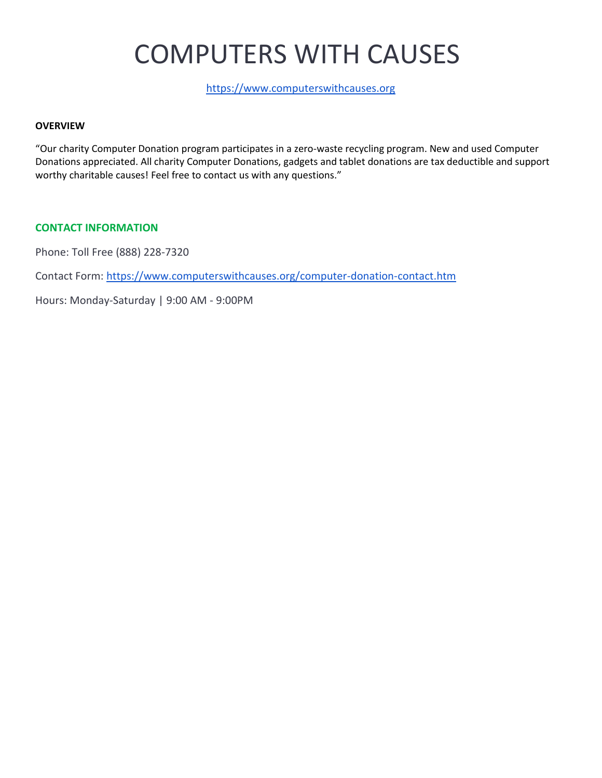# COMPUTERS WITH CAUSES

[https://www.computerswithcauses.org](https://www.computerswithcauses.org/)

#### **OVERVIEW**

"Our charity Computer Donation program participates in a zero-waste recycling program. New and used Computer Donations appreciated. All charity Computer Donations, gadgets and tablet donations are tax deductible and support worthy charitable causes! Feel free to contact us with any questions."

#### **CONTACT INFORMATION**

Phone: Toll Free (888) 228-7320

Contact Form:<https://www.computerswithcauses.org/computer-donation-contact.htm>

Hours: Monday-Saturday | 9:00 AM - 9:00PM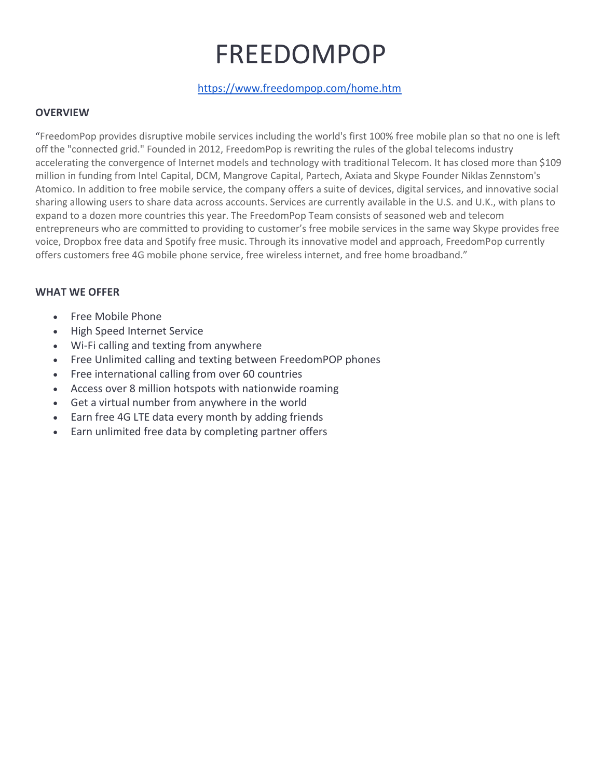# FREEDOMPOP

# <https://www.freedompop.com/home.htm>

## **OVERVIEW**

"FreedomPop provides disruptive mobile services including the world's first 100% free mobile plan so that no one is left off the "connected grid." Founded in 2012, FreedomPop is rewriting the rules of the global telecoms industry accelerating the convergence of Internet models and technology with traditional Telecom. It has closed more than \$109 million in funding from Intel Capital, DCM, Mangrove Capital, Partech, Axiata and Skype Founder Niklas Zennstom's Atomico. In addition to free mobile service, the company offers a suite of devices, digital services, and innovative social sharing allowing users to share data across accounts. Services are currently available in the U.S. and U.K., with plans to expand to a dozen more countries this year. The FreedomPop Team consists of seasoned web and telecom entrepreneurs who are committed to providing to customer's free mobile services in the same way Skype provides free voice, Dropbox free data and Spotify free music. Through its innovative model and approach, FreedomPop currently offers customers free 4G mobile phone service, free wireless internet, and free home broadband."

# **WHAT WE OFFER**

- Free Mobile Phone
- High Speed Internet Service
- Wi-Fi calling and texting from anywhere
- Free Unlimited calling and texting between FreedomPOP phones
- Free international calling from over 60 countries
- Access over 8 million hotspots with nationwide roaming
- Get a virtual number from anywhere in the world
- Earn free 4G LTE data every month by adding friends
- Earn unlimited free data by completing partner offers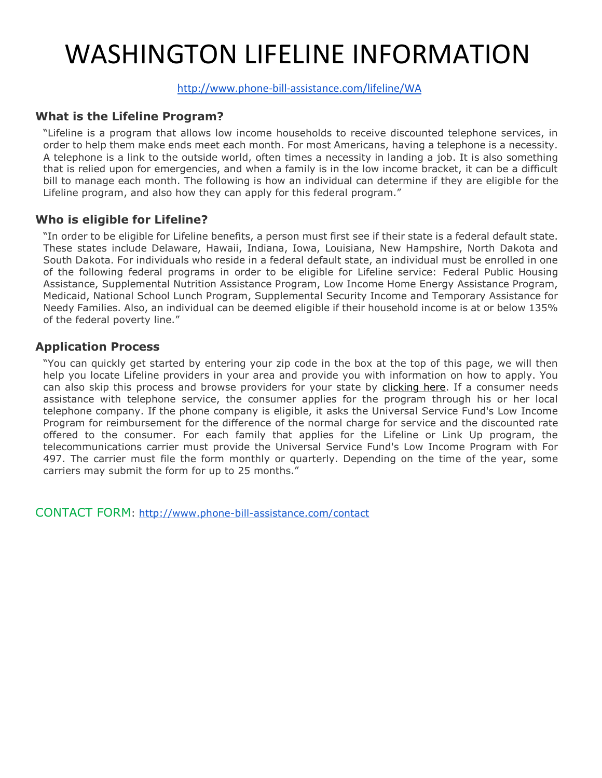# WASHINGTON LIFELINE INFORMATION

# <http://www.phone-bill-assistance.com/lifeline/WA>

# **What is the Lifeline Program?**

"Lifeline is a program that allows low income households to receive discounted telephone services, in order to help them make ends meet each month. For most Americans, having a telephone is a necessity. A telephone is a link to the outside world, often times a necessity in landing a job. It is also something that is relied upon for emergencies, and when a family is in the low income bracket, it can be a difficult bill to manage each month. The following is how an individual can determine if they are eligible for the Lifeline program, and also how they can apply for this federal program."

# **Who is eligible for Lifeline?**

"In order to be eligible for Lifeline benefits, a person must first see if their state is a federal default state. These states include Delaware, Hawaii, Indiana, Iowa, Louisiana, New Hampshire, North Dakota and South Dakota. For individuals who reside in a federal default state, an individual must be enrolled in one of the following federal programs in order to be eligible for Lifeline service: Federal Public Housing Assistance, Supplemental Nutrition Assistance Program, Low Income Home Energy Assistance Program, Medicaid, National School Lunch Program, Supplemental Security Income and Temporary Assistance for Needy Families. Also, an individual can be deemed eligible if their household income is at or below 135% of the federal poverty line."

# **Application Process**

"You can quickly get started by entering your zip code in the box at the top of this page, we will then help you locate Lifeline providers in your area and provide you with information on how to apply. You can also skip this process and browse providers for your state by [clicking here.](http://www.phone-bill-assistance.com/lifeline_by_state) If a consumer needs assistance with telephone service, the consumer applies for the program through his or her local telephone company. If the phone company is eligible, it asks the Universal Service Fund's Low Income Program for reimbursement for the difference of the normal charge for service and the discounted rate offered to the consumer. For each family that applies for the Lifeline or Link Up program, the telecommunications carrier must provide the Universal Service Fund's Low Income Program with For 497. The carrier must file the form monthly or quarterly. Depending on the time of the year, some carriers may submit the form for up to 25 months."

CONTACT FORM:<http://www.phone-bill-assistance.com/contact>